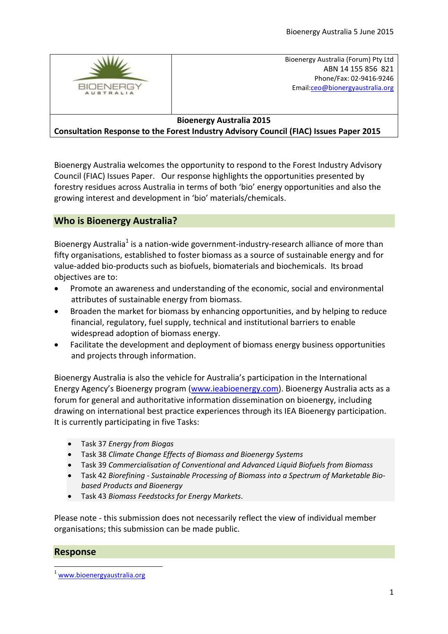

Bioenergy Australia (Forum) Pty Ltd ABN 14 155 856 821 Phone/Fax: 02-9416-9246 Email:ceo@bionergyaustralia.org

## **Bioenergy Australia 2015**

## **Consultation Response to the Forest Industry Advisory Council (FIAC) Issues Paper 2015**

Bioenergy Australia welcomes the opportunity to respond to the Forest Industry Advisory Council (FIAC) Issues Paper. Our response highlights the opportunities presented by forestry residues across Australia in terms of both 'bio' energy opportunities and also the growing interest and development in 'bio' materials/chemicals.

# **Who is Bioenergy Australia?**

Bioenergy Australia<sup>1</sup> is a nation-wide government-industry-research alliance of more than fifty organisations, established to foster biomass as a source of sustainable energy and for value-added bio-products such as biofuels, biomaterials and biochemicals. Its broad objectives are to:

- Promote an awareness and understanding of the economic, social and environmental attributes of sustainable energy from biomass.
- Broaden the market for biomass by enhancing opportunities, and by helping to reduce financial, regulatory, fuel supply, technical and institutional barriers to enable widespread adoption of biomass energy.
- Facilitate the development and deployment of biomass energy business opportunities and projects through information.

Bioenergy Australia is also the vehicle for Australia's participation in the International Energy Agency's Bioenergy program ([www.ieabioenergy.com\)](http://www.ieabioenergy.com/). Bioenergy Australia acts as a forum for general and authoritative information dissemination on bioenergy, including drawing on international best practice experiences through its IEA Bioenergy participation. It is currently participating in five Tasks:

- Task 37 *Energy from Biogas*
- Task 38 *Climate Change Effects of Biomass and Bioenergy Systems*
- Task 39 *Commercialisation of Conventional and Advanced Liquid Biofuels from Biomass*
- Task 42 *Biorefining - Sustainable Processing of Biomass into a Spectrum of Marketable Biobased Products and Bioenergy*
- Task 43 *Biomass Feedstocks for Energy Markets*.

Please note - this submission does not necessarily reflect the view of individual member organisations; this submission can be made public.

## **Response**

[www.bioenergyaustralia.org](http://www.bioenergyaustralia.org/)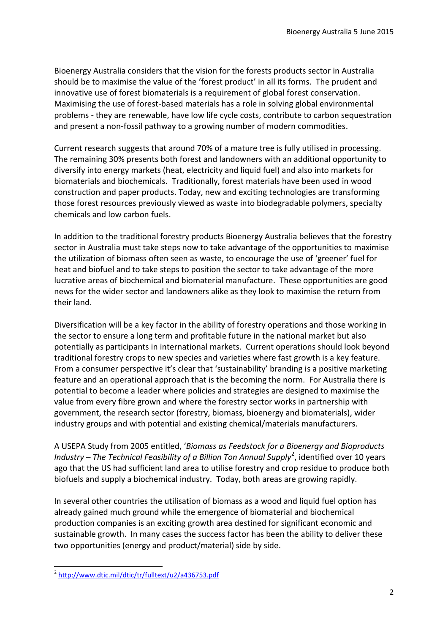Bioenergy Australia considers that the vision for the forests products sector in Australia should be to maximise the value of the 'forest product' in all its forms. The prudent and innovative use of forest biomaterials is a requirement of global forest conservation. Maximising the use of forest-based materials has a role in solving global environmental problems - they are renewable, have low life cycle costs, contribute to carbon sequestration and present a non-fossil pathway to a growing number of modern commodities.

Current research suggests that around 70% of a mature tree is fully utilised in processing. The remaining 30% presents both forest and landowners with an additional opportunity to diversify into energy markets (heat, electricity and liquid fuel) and also into markets for biomaterials and biochemicals. Traditionally, forest materials have been used in wood construction and paper products. Today, new and exciting technologies are transforming those forest resources previously viewed as waste into biodegradable polymers, specialty chemicals and low carbon fuels.

In addition to the traditional forestry products Bioenergy Australia believes that the forestry sector in Australia must take steps now to take advantage of the opportunities to maximise the utilization of biomass often seen as waste, to encourage the use of 'greener' fuel for heat and biofuel and to take steps to position the sector to take advantage of the more lucrative areas of biochemical and biomaterial manufacture. These opportunities are good news for the wider sector and landowners alike as they look to maximise the return from their land.

Diversification will be a key factor in the ability of forestry operations and those working in the sector to ensure a long term and profitable future in the national market but also potentially as participants in international markets. Current operations should look beyond traditional forestry crops to new species and varieties where fast growth is a key feature. From a consumer perspective it's clear that 'sustainability' branding is a positive marketing feature and an operational approach that is the becoming the norm. For Australia there is potential to become a leader where policies and strategies are designed to maximise the value from every fibre grown and where the forestry sector works in partnership with government, the research sector (forestry, biomass, bioenergy and biomaterials), wider industry groups and with potential and existing chemical/materials manufacturers.

A USEPA Study from 2005 entitled, '*Biomass as Feedstock for a Bioenergy and Bioproducts*  Industry – The Technical Feasibility of a Billion Ton Annual Supply<sup>2</sup>, identified over 10 years ago that the US had sufficient land area to utilise forestry and crop residue to produce both biofuels and supply a biochemical industry. Today, both areas are growing rapidly.

In several other countries the utilisation of biomass as a wood and liquid fuel option has already gained much ground while the emergence of biomaterial and biochemical production companies is an exciting growth area destined for significant economic and sustainable growth. In many cases the success factor has been the ability to deliver these two opportunities (energy and product/material) side by side.

 2 <http://www.dtic.mil/dtic/tr/fulltext/u2/a436753.pdf>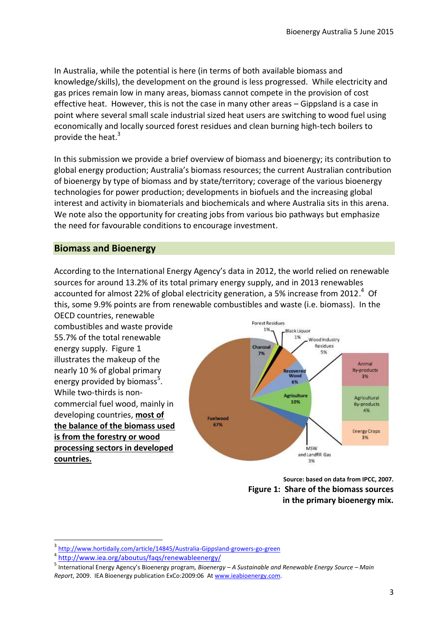In Australia, while the potential is here (in terms of both available biomass and knowledge/skills), the development on the ground is less progressed. While electricity and gas prices remain low in many areas, biomass cannot compete in the provision of cost effective heat. However, this is not the case in many other areas – Gippsland is a case in point where several small scale industrial sized heat users are switching to wood fuel using economically and locally sourced forest residues and clean burning high-tech boilers to provide the heat.<sup>3</sup>

In this submission we provide a brief overview of biomass and bioenergy; its contribution to global energy production; Australia's biomass resources; the current Australian contribution of bioenergy by type of biomass and by state/territory; coverage of the various bioenergy technologies for power production; developments in biofuels and the increasing global interest and activity in biomaterials and biochemicals and where Australia sits in this arena. We note also the opportunity for creating jobs from various bio pathways but emphasize the need for favourable conditions to encourage investment.

#### **Biomass and Bioenergy**

According to the International Energy Agency's data in 2012, the world relied on renewable sources for around 13.2% of its total primary energy supply, and in 2013 renewables accounted for almost 22% of global electricity generation, a 5% increase from 2012.<sup>4</sup> Of this, some 9.9% points are from renewable combustibles and waste (i.e. biomass). In the

OECD countries, renewable combustibles and waste provide 55.7% of the total renewable energy supply. Figure 1 illustrates the makeup of the nearly 10 % of global primary energy provided by biomass<sup>5</sup>. While two-thirds is noncommercial fuel wood, mainly in developing countries, **most of the balance of the biomass used is from the forestry or wood processing sectors in developed countries.**



**Source: based on data from IPCC, 2007. Figure 1: Share of the biomass sources in the primary bioenergy mix.** 

1

<sup>3</sup> <http://www.hortidaily.com/article/14845/Australia-Gippsland-growers-go-green>

<sup>4</sup> <http://www.iea.org/aboutus/faqs/renewableenergy/>

<sup>5</sup> International Energy Agency's Bioenergy program*, Bioenergy – A Sustainable and Renewable Energy Source – Main Report*, 2009. IEA Bioenergy publication ExCo:2009:06 A[t www.ieabioenergy.com.](http://www.ieabioenergy.com/)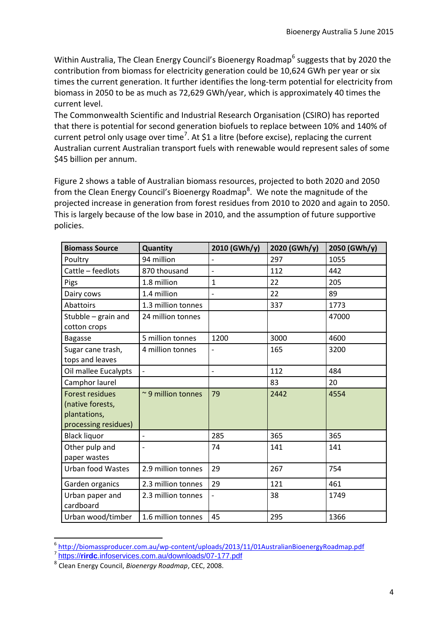Within Australia, The Clean Energy Council's Bioenergy Roadmap<sup>6</sup> suggests that by 2020 the contribution from biomass for electricity generation could be 10,624 GWh per year or six times the current generation. It further identifies the long-term potential for electricity from biomass in 2050 to be as much as 72,629 GWh/year, which is approximately 40 times the current level.

The Commonwealth Scientific and Industrial Research Organisation (CSIRO) has reported that there is potential for second generation biofuels to replace between 10% and 140% of current petrol only usage over time<sup>7</sup>. At \$1 a litre (before excise), replacing the current Australian current Australian transport fuels with renewable would represent sales of some \$45 billion per annum.

Figure 2 shows a table of Australian biomass resources, projected to both 2020 and 2050 from the Clean Energy Council's Bioenergy Roadmap<sup>8</sup>. We note the magnitude of the projected increase in generation from forest residues from 2010 to 2020 and again to 2050. This is largely because of the low base in 2010, and the assumption of future supportive policies.

| <b>Biomass Source</b>                                                              | Quantity                 | 2010 (GWh/y)   | 2020 (GWh/y) | 2050 (GWh/y) |
|------------------------------------------------------------------------------------|--------------------------|----------------|--------------|--------------|
| Poultry                                                                            | 94 million               | $\overline{a}$ | 297          | 1055         |
| Cattle - feedlots                                                                  | 870 thousand             |                | 112          | 442          |
| Pigs                                                                               | 1.8 million              | $\mathbf{1}$   | 22           | 205          |
| Dairy cows                                                                         | 1.4 million              |                | 22           | 89           |
| Abattoirs                                                                          | 1.3 million tonnes       |                | 337          | 1773         |
| Stubble - grain and<br>cotton crops                                                | 24 million tonnes        |                |              | 47000        |
| <b>Bagasse</b>                                                                     | 5 million tonnes         | 1200           | 3000         | 4600         |
| Sugar cane trash,<br>tops and leaves                                               | 4 million tonnes         | $\overline{a}$ | 165          | 3200         |
| Oil mallee Eucalypts                                                               | $\overline{\phantom{a}}$ | $\overline{a}$ | 112          | 484          |
| Camphor laurel                                                                     |                          |                | 83           | 20           |
| <b>Forest residues</b><br>(native forests,<br>plantations,<br>processing residues) | $\sim$ 9 million tonnes  | 79             | 2442         | 4554         |
| <b>Black liquor</b>                                                                | $\overline{\phantom{0}}$ | 285            | 365          | 365          |
| Other pulp and<br>paper wastes                                                     | $\overline{\phantom{0}}$ | 74             | 141          | 141          |
| <b>Urban food Wastes</b>                                                           | 2.9 million tonnes       | 29             | 267          | 754          |
| Garden organics                                                                    | 2.3 million tonnes       | 29             | 121          | 461          |
| Urban paper and<br>cardboard                                                       | 2.3 million tonnes       |                | 38           | 1749         |
| Urban wood/timber                                                                  | 1.6 million tonnes       | 45             | 295          | 1366         |

 6 <http://biomassproducer.com.au/wp-content/uploads/2013/11/01AustralianBioenergyRoadmap.pdf> 7 https://**rirdc**[.infoservices.com.au/downloads/07-177.pdf](https://rirdc.infoservices.com.au/downloads/07-177.pdf)

<sup>8</sup> Clean Energy Council, *Bioenergy Roadmap*, CEC, 2008.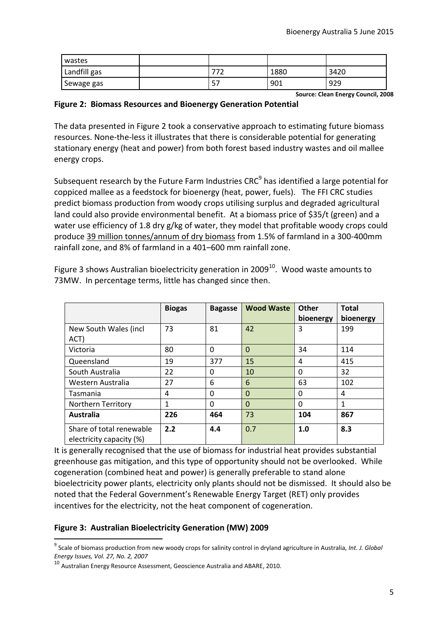| wastes       |        |      |      |
|--------------|--------|------|------|
| Landfill gas | , ., . | 1880 | 3420 |
| Sewage gas   | ر ر    | 901  | 929  |

**Source: Clean Energy Council, 2008**

#### **Figure 2: Biomass Resources and Bioenergy Generation Potential**

The data presented in Figure 2 took a conservative approach to estimating future biomass resources. None-the-less it illustrates that there is considerable potential for generating stationary energy (heat and power) from both forest based industry wastes and oil mallee energy crops.

Subsequent research by the Future Farm Industries CRC<sup>9</sup> has identified a large potential for coppiced mallee as a feedstock for bioenergy (heat, power, fuels). The FFI CRC studies predict biomass production from woody crops utilising surplus and degraded agricultural land could also provide environmental benefit. At a biomass price of \$35/t (green) and a water use efficiency of 1.8 dry g/kg of water, they model that profitable woody crops could produce 39 million tonnes/annum of dry biomass from 1.5% of farmland in a 300-400mm rainfall zone, and 8% of farmland in a 401–600 mm rainfall zone.

|                                                      | <b>Biogas</b> | <b>Bagasse</b> | <b>Wood Waste</b> | Other<br>bioenergy | <b>Total</b><br>bioenergy |
|------------------------------------------------------|---------------|----------------|-------------------|--------------------|---------------------------|
| New South Wales (incl<br>ACT)                        | 73            | 81             | 42                | 3                  | 199                       |
| Victoria                                             | 80            | $\Omega$       | 0                 | 34                 | 114                       |
| Queensland                                           | 19            | 377            | 15                | 4                  | 415                       |
| South Australia                                      | 22            | $\Omega$       | 10                | 0                  | 32                        |
| Western Australia                                    | 27            | 6              | 6                 | 63                 | 102                       |
| <b>Tasmania</b>                                      | 4             | $\Omega$       | $\Omega$          | 0                  | 4                         |
| <b>Northern Territory</b>                            | 1             | $\Omega$       | $\Omega$          | $\Omega$           | 1                         |
| Australia                                            | 226           | 464            | 73                | 104                | 867                       |
| Share of total renewable<br>electricity capacity (%) | 2.2           | 4.4            | 0.7               | 1.0                | 8.3                       |

Figure 3 shows Australian bioelectricity generation in 2009 $^{10}$ . Wood waste amounts to 73MW. In percentage terms, little has changed since then.

It is generally recognised that the use of biomass for industrial heat provides substantial greenhouse gas mitigation, and this type of opportunity should not be overlooked. While cogeneration (combined heat and power) is generally preferable to stand alone bioelectricity power plants, electricity only plants should not be dismissed. It should also be noted that the Federal Government's Renewable Energy Target (RET) only provides incentives for the electricity, not the heat component of cogeneration.

#### **Figure 3: Australian Bioelectricity Generation (MW) 2009**

<sup>9</sup> Scale of biomass production from new woody crops for salinity control in dryland agriculture in Australia, *Int. J. Global Energy Issues, Vol. 27, No. 2, 2007*

<sup>&</sup>lt;sup>10</sup> Australian Energy Resource Assessment, Geoscience Australia and ABARE, 2010.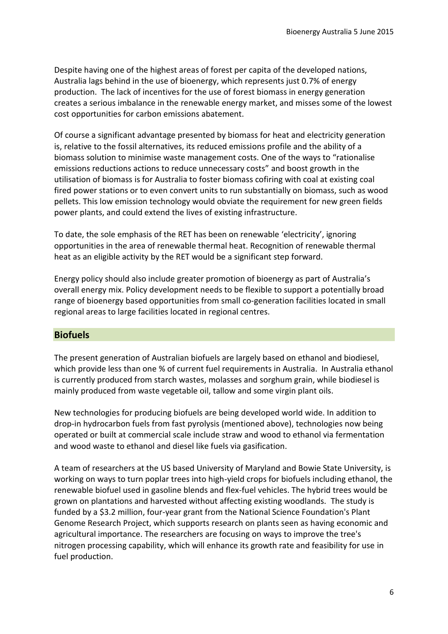Despite having one of the highest areas of forest per capita of the developed nations, Australia lags behind in the use of bioenergy, which represents just 0.7% of energy production. The lack of incentives for the use of forest biomass in energy generation creates a serious imbalance in the renewable energy market, and misses some of the lowest cost opportunities for carbon emissions abatement.

Of course a significant advantage presented by biomass for heat and electricity generation is, relative to the fossil alternatives, its reduced emissions profile and the ability of a biomass solution to minimise waste management costs. One of the ways to "rationalise emissions reductions actions to reduce unnecessary costs" and boost growth in the utilisation of biomass is for Australia to foster biomass cofiring with coal at existing coal fired power stations or to even convert units to run substantially on biomass, such as wood pellets. This low emission technology would obviate the requirement for new green fields power plants, and could extend the lives of existing infrastructure.

To date, the sole emphasis of the RET has been on renewable 'electricity', ignoring opportunities in the area of renewable thermal heat. Recognition of renewable thermal heat as an eligible activity by the RET would be a significant step forward.

Energy policy should also include greater promotion of bioenergy as part of Australia's overall energy mix. Policy development needs to be flexible to support a potentially broad range of bioenergy based opportunities from small co-generation facilities located in small regional areas to large facilities located in regional centres.

## **Biofuels**

The present generation of Australian biofuels are largely based on ethanol and biodiesel, which provide less than one % of current fuel requirements in Australia. In Australia ethanol is currently produced from starch wastes, molasses and sorghum grain, while biodiesel is mainly produced from waste vegetable oil, tallow and some virgin plant oils.

New technologies for producing biofuels are being developed world wide. In addition to drop-in hydrocarbon fuels from fast pyrolysis (mentioned above), technologies now being operated or built at commercial scale include straw and wood to ethanol via fermentation and wood waste to ethanol and diesel like fuels via gasification.

A team of researchers at the US based University of Maryland and Bowie State University, is working on ways to turn poplar trees into high-yield crops for biofuels including ethanol, the renewable biofuel used in gasoline blends and flex-fuel vehicles. The hybrid trees would be grown on plantations and harvested without affecting existing woodlands. The study is funded by a \$3.2 million, four-year grant from the National Science Foundation's Plant Genome Research Project, which supports research on plants seen as having economic and agricultural importance. The researchers are focusing on ways to improve the tree's nitrogen processing capability, which will enhance its growth rate and feasibility for use in fuel production.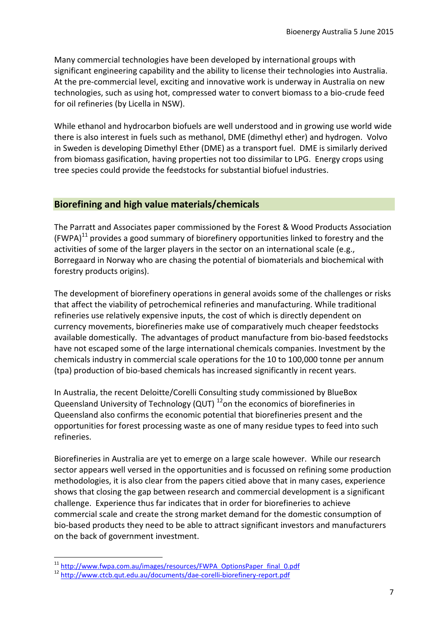Many commercial technologies have been developed by international groups with significant engineering capability and the ability to license their technologies into Australia. At the pre-commercial level, exciting and innovative work is underway in Australia on new technologies, such as using hot, compressed water to convert biomass to a bio-crude feed for oil refineries (by Licella in NSW).

While ethanol and hydrocarbon biofuels are well understood and in growing use world wide there is also interest in fuels such as methanol, DME (dimethyl ether) and hydrogen. Volvo in Sweden is developing Dimethyl Ether (DME) as a transport fuel. DME is similarly derived from biomass gasification, having properties not too dissimilar to LPG. Energy crops using tree species could provide the feedstocks for substantial biofuel industries.

## **Biorefining and high value materials/chemicals**

The Parratt and Associates paper commissioned by the Forest & Wood Products Association  $(FWPA)^{11}$  provides a good summary of biorefinery opportunities linked to forestry and the activities of some of the larger players in the sector on an international scale (e.g., Borregaard in Norway who are chasing the potential of biomaterials and biochemical with forestry products origins).

The development of biorefinery operations in general avoids some of the challenges or risks that affect the viability of petrochemical refineries and manufacturing. While traditional refineries use relatively expensive inputs, the cost of which is directly dependent on currency movements, biorefineries make use of comparatively much cheaper feedstocks available domestically. The advantages of product manufacture from bio-based feedstocks have not escaped some of the large international chemicals companies. Investment by the chemicals industry in commercial scale operations for the 10 to 100,000 tonne per annum (tpa) production of bio-based chemicals has increased significantly in recent years.

In Australia, the recent Deloitte/Corelli Consulting study commissioned by BlueBox Queensland University of Technology (QUT) <sup>12</sup>on the economics of biorefineries in Queensland also confirms the economic potential that biorefineries present and the opportunities for forest processing waste as one of many residue types to feed into such refineries.

Biorefineries in Australia are yet to emerge on a large scale however. While our research sector appears well versed in the opportunities and is focussed on refining some production methodologies, it is also clear from the papers citied above that in many cases, experience shows that closing the gap between research and commercial development is a significant challenge. Experience thus far indicates that in order for biorefineries to achieve commercial scale and create the strong market demand for the domestic consumption of bio-based products they need to be able to attract significant investors and manufacturers on the back of government investment.

<sup>&</sup>lt;sup>11</sup> [http://www.fwpa.com.au/images/resources/FWPA\\_OptionsPaper\\_final\\_0.pdf](http://www.fwpa.com.au/images/resources/FWPA_OptionsPaper_final_0.pdf)

<sup>12</sup> <http://www.ctcb.qut.edu.au/documents/dae-corelli-biorefinery-report.pdf>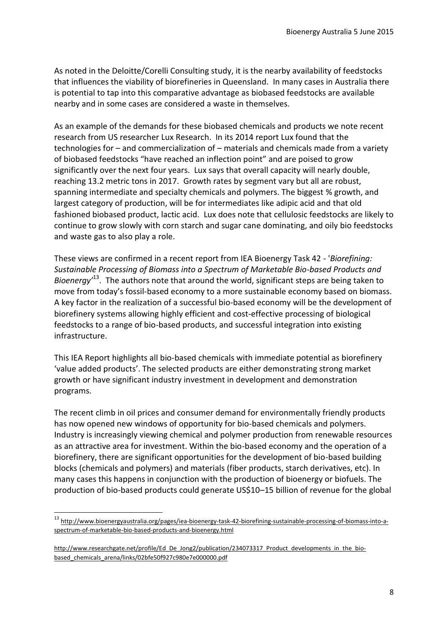As noted in the Deloitte/Corelli Consulting study, it is the nearby availability of feedstocks that influences the viability of biorefineries in Queensland. In many cases in Australia there is potential to tap into this comparative advantage as biobased feedstocks are available nearby and in some cases are considered a waste in themselves.

As an example of the demands for these biobased chemicals and products we note recent research from US researcher Lux Research. In its 2014 report Lux found that the technologies for – and commercialization of – materials and chemicals made from a variety of biobased feedstocks "have reached an inflection point" and are poised to grow significantly over the next four years. Lux says that overall capacity will nearly double, reaching 13.2 metric tons in 2017. Growth rates by segment vary but all are robust, spanning intermediate and specialty chemicals and polymers. The biggest % growth, and largest category of production, will be for intermediates like adipic acid and that old fashioned biobased product, lactic acid. Lux does note that cellulosic feedstocks are likely to continue to grow slowly with corn starch and sugar cane dominating, and oily bio feedstocks and waste gas to also play a role.

These views are confirmed in a recent report from IEA Bioenergy Task 42 - '*Biorefining: Sustainable Processing of Biomass into a Spectrum of Marketable Bio-based Products and*  Bioenergy<sup>13</sup>. The authors note that around the world, significant steps are being taken to move from today's fossil-based economy to a more sustainable economy based on biomass. A key factor in the realization of a successful bio-based economy will be the development of biorefinery systems allowing highly efficient and cost-effective processing of biological feedstocks to a range of bio-based products, and successful integration into existing infrastructure.

This IEA Report highlights all bio-based chemicals with immediate potential as biorefinery 'value added products'. The selected products are either demonstrating strong market growth or have significant industry investment in development and demonstration programs.

The recent climb in oil prices and consumer demand for environmentally friendly products has now opened new windows of opportunity for bio-based chemicals and polymers. Industry is increasingly viewing chemical and polymer production from renewable resources as an attractive area for investment. Within the bio-based economy and the operation of a biorefinery, there are significant opportunities for the development of bio-based building blocks (chemicals and polymers) and materials (fiber products, starch derivatives, etc). In many cases this happens in conjunction with the production of bioenergy or biofuels. The production of bio-based products could generate US\$10–15 billion of revenue for the global

<sup>13</sup> [http://www.bioenergyaustralia.org/pages/iea-bioenergy-task-42-biorefining-sustainable-processing-of-biomass-into-a](http://www.bioenergyaustralia.org/pages/iea-bioenergy-task-42-biorefining-sustainable-processing-of-biomass-into-a-spectrum-of-marketable-bio-based-products-and-bioenergy.html)[spectrum-of-marketable-bio-based-products-and-bioenergy.html](http://www.bioenergyaustralia.org/pages/iea-bioenergy-task-42-biorefining-sustainable-processing-of-biomass-into-a-spectrum-of-marketable-bio-based-products-and-bioenergy.html)

[http://www.researchgate.net/profile/Ed\\_De\\_Jong2/publication/234073317\\_Product\\_developments\\_in\\_the\\_bio](http://www.researchgate.net/profile/Ed_De_Jong2/publication/234073317_Product_developments_in_the_bio-based_chemicals_arena/links/02bfe50f927c980e7e000000.pdf)[based\\_chemicals\\_arena/links/02bfe50f927c980e7e000000.pdf](http://www.researchgate.net/profile/Ed_De_Jong2/publication/234073317_Product_developments_in_the_bio-based_chemicals_arena/links/02bfe50f927c980e7e000000.pdf)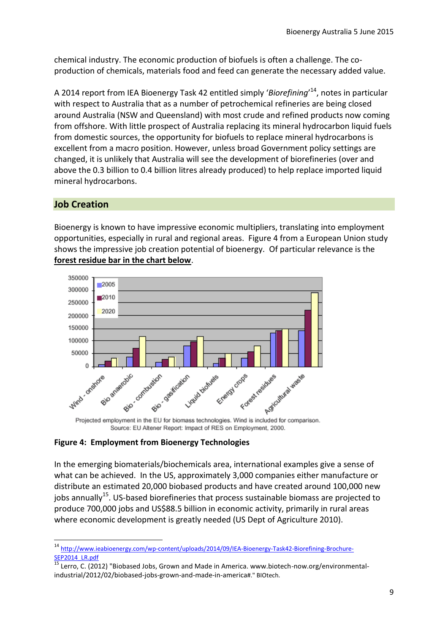chemical industry. The economic production of biofuels is often a challenge. The coproduction of chemicals, materials food and feed can generate the necessary added value.

A 2014 report from IEA Bioenergy Task 42 entitled simply '*Biorefining*' <sup>14</sup>, notes in particular with respect to Australia that as a number of petrochemical refineries are being closed around Australia (NSW and Queensland) with most crude and refined products now coming from offshore. With little prospect of Australia replacing its mineral hydrocarbon liquid fuels from domestic sources, the opportunity for biofuels to replace mineral hydrocarbons is excellent from a macro position. However, unless broad Government policy settings are changed, it is unlikely that Australia will see the development of biorefineries (over and above the 0.3 billion to 0.4 billion litres already produced) to help replace imported liquid mineral hydrocarbons.

## **Job Creation**

1

Bioenergy is known to have impressive economic multipliers, translating into employment opportunities, especially in rural and regional areas. Figure 4 from a European Union study shows the impressive job creation potential of bioenergy. Of particular relevance is the **forest residue bar in the chart below**.



Projected employment in the EU for biomass technologies. Wind is included for comparison. Source: EU Altener Report: Impact of RES on Employment, 2000.

## **Figure 4: Employment from Bioenergy Technologies**

In the emerging biomaterials/biochemicals area, international examples give a sense of what can be achieved. In the US, approximately 3,000 companies either manufacture or distribute an estimated 20,000 biobased products and have created around 100,000 new iobs annually<sup>15</sup>. US-based biorefineries that process sustainable biomass are projected to produce 700,000 jobs and US\$88.5 billion in economic activity, primarily in rural areas where economic development is greatly needed (US Dept of Agriculture 2010).

<sup>&</sup>lt;sup>14</sup> [http://www.ieabioenergy.com/wp-content/uploads/2014/09/IEA-Bioenergy-Task42-Biorefining-Brochure-](http://www.ieabioenergy.com/wp-content/uploads/2014/09/IEA-Bioenergy-Task42-Biorefining-Brochure-SEP2014_LR.pdf)[SEP2014\\_LR.pdf](http://www.ieabioenergy.com/wp-content/uploads/2014/09/IEA-Bioenergy-Task42-Biorefining-Brochure-SEP2014_LR.pdf)<br>15

<sup>15</sup> Lerro, C. (2012) "Biobased Jobs, Grown and Made in America. www.biotech-now.org/environmentalindustrial/2012/02/biobased-jobs-grown-and-made-in-america#." BIOtech.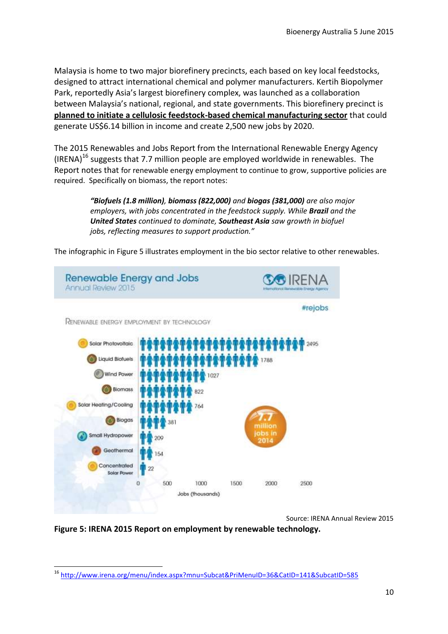Malaysia is home to two major biorefinery precincts, each based on key local feedstocks, designed to attract international chemical and polymer manufacturers. Kertih Biopolymer Park, reportedly Asia's largest biorefinery complex, was launched as a collaboration between Malaysia's national, regional, and state governments. This biorefinery precinct is **planned to initiate a cellulosic feedstock-based chemical manufacturing sector** that could generate US\$6.14 billion in income and create 2,500 new jobs by 2020.

The 2015 Renewables and Jobs Report from the International Renewable Energy Agency  $(IRENA)^{16}$  suggests that 7.7 million people are employed worldwide in renewables. The Report notes that for renewable energy employment to continue to grow, supportive policies are required. Specifically on biomass, the report notes:

> *"Biofuels (1.8 million), biomass (822,000) and biogas (381,000) are also major employers, with jobs concentrated in the feedstock supply. While Brazil and the United States continued to dominate, Southeast Asia saw growth in biofuel jobs, reflecting measures to support production."*

The infographic in Figure 5 illustrates employment in the bio sector relative to other renewables.



Source: IRENA Annual Review 2015

**Figure 5: IRENA 2015 Report on employment by renewable technology.**

**<sup>.</sup>** <sup>16</sup> <http://www.irena.org/menu/index.aspx?mnu=Subcat&PriMenuID=36&CatID=141&SubcatID=585>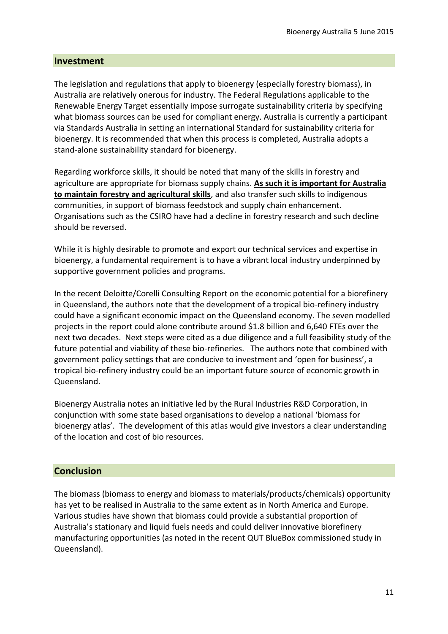#### **Investment**

The legislation and regulations that apply to bioenergy (especially forestry biomass), in Australia are relatively onerous for industry. The Federal Regulations applicable to the Renewable Energy Target essentially impose surrogate sustainability criteria by specifying what biomass sources can be used for compliant energy. Australia is currently a participant via Standards Australia in setting an international Standard for sustainability criteria for bioenergy. It is recommended that when this process is completed, Australia adopts a stand-alone sustainability standard for bioenergy.

Regarding workforce skills, it should be noted that many of the skills in forestry and agriculture are appropriate for biomass supply chains. **As such it is important for Australia to maintain forestry and agricultural skills**, and also transfer such skills to indigenous communities, in support of biomass feedstock and supply chain enhancement. Organisations such as the CSIRO have had a decline in forestry research and such decline should be reversed.

While it is highly desirable to promote and export our technical services and expertise in bioenergy, a fundamental requirement is to have a vibrant local industry underpinned by supportive government policies and programs.

In the recent Deloitte/Corelli Consulting Report on the economic potential for a biorefinery in Queensland, the authors note that the development of a tropical bio-refinery industry could have a significant economic impact on the Queensland economy. The seven modelled projects in the report could alone contribute around \$1.8 billion and 6,640 FTEs over the next two decades. Next steps were cited as a due diligence and a full feasibility study of the future potential and viability of these bio-refineries. The authors note that combined with government policy settings that are conducive to investment and 'open for business', a tropical bio-refinery industry could be an important future source of economic growth in Queensland.

Bioenergy Australia notes an initiative led by the Rural Industries R&D Corporation, in conjunction with some state based organisations to develop a national 'biomass for bioenergy atlas'. The development of this atlas would give investors a clear understanding of the location and cost of bio resources.

## **Conclusion**

The biomass (biomass to energy and biomass to materials/products/chemicals) opportunity has yet to be realised in Australia to the same extent as in North America and Europe. Various studies have shown that biomass could provide a substantial proportion of Australia's stationary and liquid fuels needs and could deliver innovative biorefinery manufacturing opportunities (as noted in the recent QUT BlueBox commissioned study in Queensland).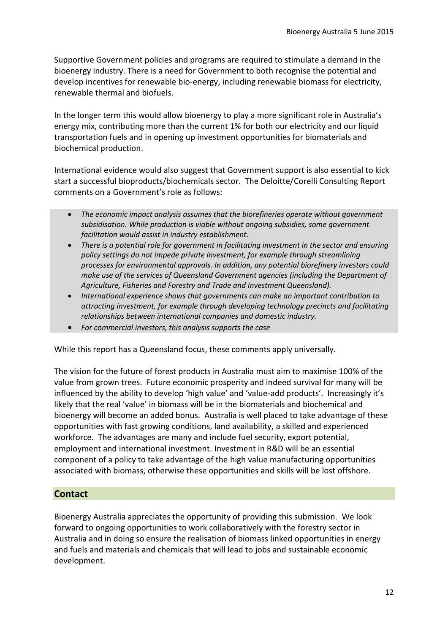Supportive Government policies and programs are required to stimulate a demand in the bioenergy industry. There is a need for Government to both recognise the potential and develop incentives for renewable bio-energy, including renewable biomass for electricity, renewable thermal and biofuels.

In the longer term this would allow bioenergy to play a more significant role in Australia's energy mix, contributing more than the current 1% for both our electricity and our liquid transportation fuels and in opening up investment opportunities for biomaterials and biochemical production.

International evidence would also suggest that Government support is also essential to kick start a successful bioproducts/biochemicals sector. The Deloitte/Corelli Consulting Report comments on a Government's role as follows:

- *The economic impact analysis assumes that the biorefineries operate without government subsidisation. While production is viable without ongoing subsidies, some government facilitation would assist in industry establishment.*
- *There is a potential role for government in facilitating investment in the sector and ensuring policy settings do not impede private investment, for example through streamlining processes for environmental approvals. In addition, any potential biorefinery investors could make use of the services of Queensland Government agencies (including the Department of Agriculture, Fisheries and Forestry and Trade and Investment Queensland).*
- *International experience shows that governments can make an important contribution to attracting investment, for example through developing technology precincts and facilitating relationships between international companies and domestic industry.*
- *For commercial investors, this analysis supports the case*

While this report has a Queensland focus, these comments apply universally.

The vision for the future of forest products in Australia must aim to maximise 100% of the value from grown trees. Future economic prosperity and indeed survival for many will be influenced by the ability to develop 'high value' and 'value-add products'. Increasingly it's likely that the real 'value' in biomass will be in the biomaterials and biochemical and bioenergy will become an added bonus. Australia is well placed to take advantage of these opportunities with fast growing conditions, land availability, a skilled and experienced workforce. The advantages are many and include fuel security, export potential, employment and international investment. Investment in R&D will be an essential component of a policy to take advantage of the high value manufacturing opportunities associated with biomass, otherwise these opportunities and skills will be lost offshore.

## **Contact**

Bioenergy Australia appreciates the opportunity of providing this submission. We look forward to ongoing opportunities to work collaboratively with the forestry sector in Australia and in doing so ensure the realisation of biomass linked opportunities in energy and fuels and materials and chemicals that will lead to jobs and sustainable economic development.